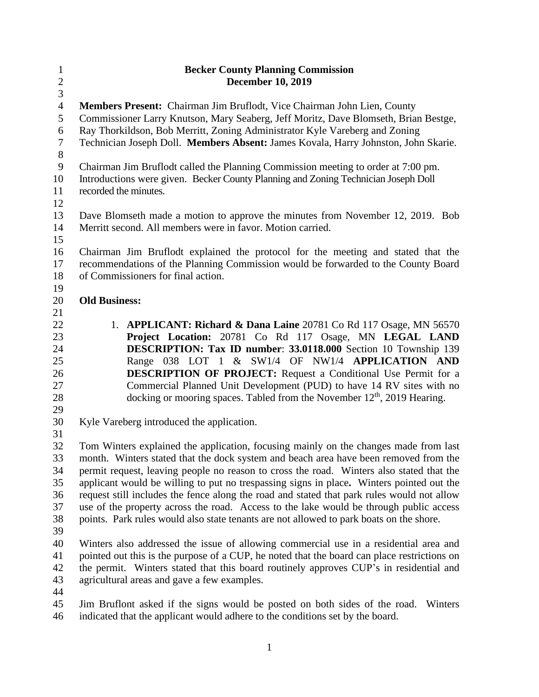| $\mathbf{1}$<br>$\overline{c}$ | <b>Becker County Planning Commission</b><br><b>December 10, 2019</b>                                                                                               |
|--------------------------------|--------------------------------------------------------------------------------------------------------------------------------------------------------------------|
| $\overline{3}$                 |                                                                                                                                                                    |
| $\overline{4}$                 | Members Present: Chairman Jim Bruflodt, Vice Chairman John Lien, County                                                                                            |
| 5<br>6                         | Commissioner Larry Knutson, Mary Seaberg, Jeff Moritz, Dave Blomseth, Brian Bestge,<br>Ray Thorkildson, Bob Merritt, Zoning Administrator Kyle Vareberg and Zoning |
| $\tau$<br>$\,8\,$              | Technician Joseph Doll. Members Absent: James Kovala, Harry Johnston, John Skarie.                                                                                 |
| $\mathbf{9}$                   | Chairman Jim Bruflodt called the Planning Commission meeting to order at 7:00 pm.                                                                                  |
| 10                             | Introductions were given. Becker County Planning and Zoning Technician Joseph Doll                                                                                 |
| 11<br>12                       | recorded the minutes.                                                                                                                                              |
| 13                             | Dave Blomseth made a motion to approve the minutes from November 12, 2019. Bob                                                                                     |
| 14                             | Merritt second. All members were in favor. Motion carried.                                                                                                         |
| 15                             |                                                                                                                                                                    |
| 16                             | Chairman Jim Bruflodt explained the protocol for the meeting and stated that the                                                                                   |
| 17                             | recommendations of the Planning Commission would be forwarded to the County Board                                                                                  |
| 18                             | of Commissioners for final action.                                                                                                                                 |
| 19                             |                                                                                                                                                                    |
| 20                             | <b>Old Business:</b>                                                                                                                                               |
| 21                             |                                                                                                                                                                    |
| 22                             | 1. APPLICANT: Richard & Dana Laine 20781 Co Rd 117 Osage, MN 56570                                                                                                 |
| 23                             | Project Location: 20781 Co Rd 117 Osage, MN LEGAL LAND                                                                                                             |
| 24                             | DESCRIPTION: Tax ID number: 33.0118.000 Section 10 Township 139                                                                                                    |
| 25                             | Range 038 LOT 1 & SW1/4 OF NW1/4 APPLICATION AND                                                                                                                   |
| 26                             | <b>DESCRIPTION OF PROJECT:</b> Request a Conditional Use Permit for a                                                                                              |
| 27                             | Commercial Planned Unit Development (PUD) to have 14 RV sites with no                                                                                              |
| 28                             | docking or mooring spaces. Tabled from the November $12th$ , 2019 Hearing.                                                                                         |
| 29                             |                                                                                                                                                                    |
| 30                             | Kyle Vareberg introduced the application.                                                                                                                          |
| 31                             |                                                                                                                                                                    |
| 32                             | Tom Winters explained the application, focusing mainly on the changes made from last                                                                               |
| 33                             | month. Winters stated that the dock system and beach area have been removed from the                                                                               |
| 34                             | permit request, leaving people no reason to cross the road. Winters also stated that the                                                                           |
| 35                             | applicant would be willing to put no trespassing signs in place. Winters pointed out the                                                                           |
| 36                             | request still includes the fence along the road and stated that park rules would not allow                                                                         |
| 37                             | use of the property across the road. Access to the lake would be through public access                                                                             |
| 38<br>39                       | points. Park rules would also state tenants are not allowed to park boats on the shore.                                                                            |
| 40                             | Winters also addressed the issue of allowing commercial use in a residential area and                                                                              |
| 41                             | pointed out this is the purpose of a CUP, he noted that the board can place restrictions on                                                                        |
| 42                             | the permit. Winters stated that this board routinely approves CUP's in residential and                                                                             |
| 43                             | agricultural areas and gave a few examples.                                                                                                                        |
| 44                             |                                                                                                                                                                    |
| 45                             | Jim Bruflont asked if the signs would be posted on both sides of the road.<br>Winters                                                                              |
| AC                             | indicated that the configurt would edham to the conditions ast by the hourd                                                                                        |

indicated that the applicant would adhere to the conditions set by the board.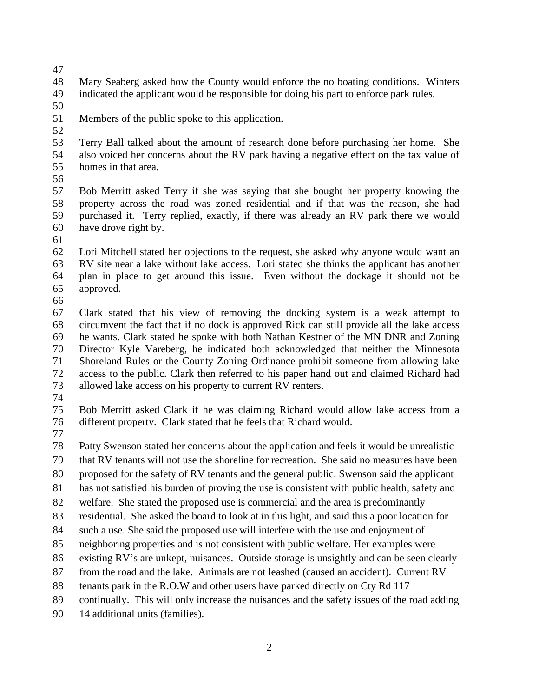Mary Seaberg asked how the County would enforce the no boating conditions. Winters indicated the applicant would be responsible for doing his part to enforce park rules.

Members of the public spoke to this application.

 Terry Ball talked about the amount of research done before purchasing her home. She also voiced her concerns about the RV park having a negative effect on the tax value of homes in that area.

 Bob Merritt asked Terry if she was saying that she bought her property knowing the property across the road was zoned residential and if that was the reason, she had purchased it. Terry replied, exactly, if there was already an RV park there we would have drove right by.

 Lori Mitchell stated her objections to the request, she asked why anyone would want an RV site near a lake without lake access. Lori stated she thinks the applicant has another plan in place to get around this issue. Even without the dockage it should not be approved.

 Clark stated that his view of removing the docking system is a weak attempt to circumvent the fact that if no dock is approved Rick can still provide all the lake access he wants. Clark stated he spoke with both Nathan Kestner of the MN DNR and Zoning Director Kyle Vareberg, he indicated both acknowledged that neither the Minnesota Shoreland Rules or the County Zoning Ordinance prohibit someone from allowing lake access to the public. Clark then referred to his paper hand out and claimed Richard had allowed lake access on his property to current RV renters.

 Bob Merritt asked Clark if he was claiming Richard would allow lake access from a different property. Clark stated that he feels that Richard would.

Patty Swenson stated her concerns about the application and feels it would be unrealistic

that RV tenants will not use the shoreline for recreation. She said no measures have been

proposed for the safety of RV tenants and the general public. Swenson said the applicant

has not satisfied his burden of proving the use is consistent with public health, safety and

welfare. She stated the proposed use is commercial and the area is predominantly

residential. She asked the board to look at in this light, and said this a poor location for

such a use. She said the proposed use will interfere with the use and enjoyment of

neighboring properties and is not consistent with public welfare. Her examples were

existing RV's are unkept, nuisances. Outside storage is unsightly and can be seen clearly

from the road and the lake. Animals are not leashed (caused an accident). Current RV

tenants park in the R.O.W and other users have parked directly on Cty Rd 117

continually. This will only increase the nuisances and the safety issues of the road adding

14 additional units (families).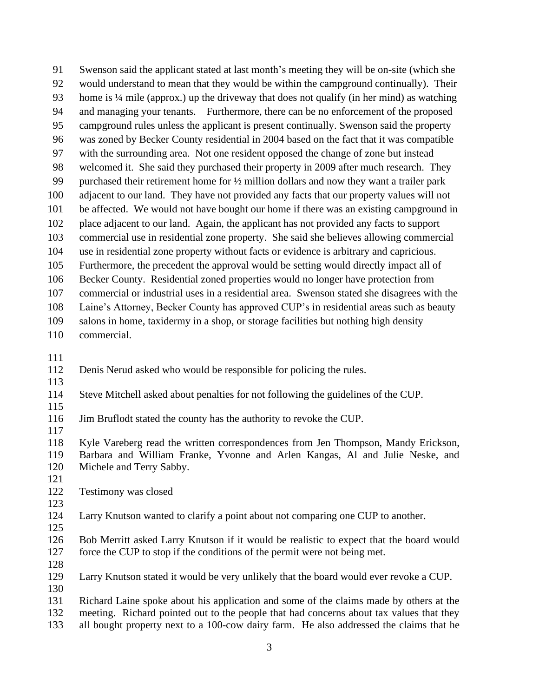Swenson said the applicant stated at last month's meeting they will be on-site (which she would understand to mean that they would be within the campground continually). Their home is ¼ mile (approx.) up the driveway that does not qualify (in her mind) as watching and managing your tenants. Furthermore, there can be no enforcement of the proposed campground rules unless the applicant is present continually. Swenson said the property was zoned by Becker County residential in 2004 based on the fact that it was compatible with the surrounding area. Not one resident opposed the change of zone but instead welcomed it. She said they purchased their property in 2009 after much research. They purchased their retirement home for ½ million dollars and now they want a trailer park adjacent to our land. They have not provided any facts that our property values will not be affected. We would not have bought our home if there was an existing campground in place adjacent to our land. Again, the applicant has not provided any facts to support commercial use in residential zone property. She said she believes allowing commercial use in residential zone property without facts or evidence is arbitrary and capricious. Furthermore, the precedent the approval would be setting would directly impact all of Becker County. Residential zoned properties would no longer have protection from commercial or industrial uses in a residential area. Swenson stated she disagrees with the Laine's Attorney, Becker County has approved CUP's in residential areas such as beauty salons in home, taxidermy in a shop, or storage facilities but nothing high density commercial.

- 
- Denis Nerud asked who would be responsible for policing the rules.
- 
- Steve Mitchell asked about penalties for not following the guidelines of the CUP.
- 
- Jim Bruflodt stated the county has the authority to revoke the CUP.

 Kyle Vareberg read the written correspondences from Jen Thompson, Mandy Erickson, Barbara and William Franke, Yvonne and Arlen Kangas, Al and Julie Neske, and Michele and Terry Sabby.

 Testimony was closed 

 Larry Knutson wanted to clarify a point about not comparing one CUP to another. 

 Bob Merritt asked Larry Knutson if it would be realistic to expect that the board would force the CUP to stop if the conditions of the permit were not being met.

 Larry Knutson stated it would be very unlikely that the board would ever revoke a CUP. 

 Richard Laine spoke about his application and some of the claims made by others at the meeting. Richard pointed out to the people that had concerns about tax values that they all bought property next to a 100-cow dairy farm. He also addressed the claims that he